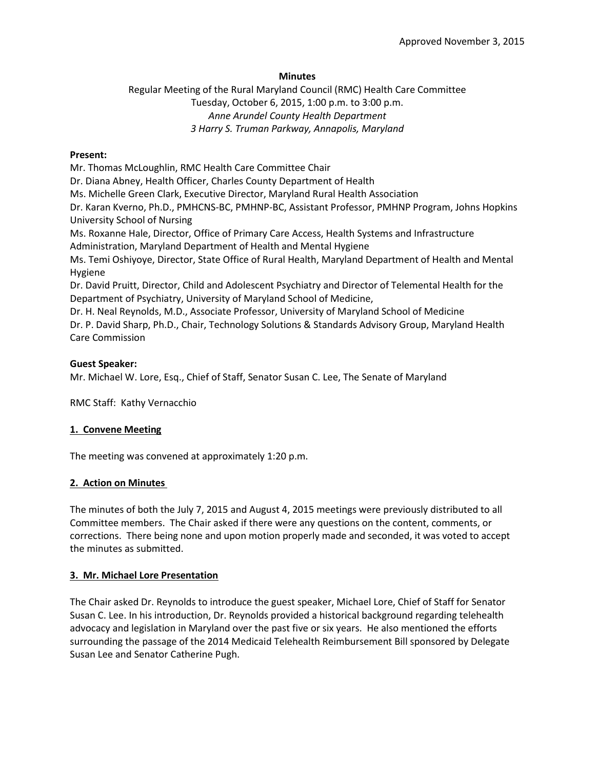### **Minutes**

Regular Meeting of the Rural Maryland Council (RMC) Health Care Committee Tuesday, October 6, 2015, 1:00 p.m. to 3:00 p.m. *Anne Arundel County Health Department 3 Harry S. Truman Parkway, Annapolis, Maryland*

### **Present:**

Mr. Thomas McLoughlin, RMC Health Care Committee Chair

Dr. Diana Abney, Health Officer, Charles County Department of Health

Ms. Michelle Green Clark, Executive Director, Maryland Rural Health Association

Dr. Karan Kverno, Ph.D., PMHCNS-BC, PMHNP-BC, Assistant Professor, PMHNP Program, Johns Hopkins University School of Nursing

Ms. Roxanne Hale, Director, Office of Primary Care Access, Health Systems and Infrastructure Administration, Maryland Department of Health and Mental Hygiene

Ms. Temi Oshiyoye, Director, State Office of Rural Health, Maryland Department of Health and Mental Hygiene

Dr. David Pruitt, Director, Child and Adolescent Psychiatry and Director of Telemental Health for the Department of Psychiatry, University of Maryland School of Medicine,

Dr. H. Neal Reynolds, M.D., Associate Professor, University of Maryland School of Medicine Dr. P. David Sharp, Ph.D., Chair, Technology Solutions & Standards Advisory Group, Maryland Health Care Commission

### **Guest Speaker:**

Mr. Michael W. Lore, Esq., Chief of Staff, Senator Susan C. Lee, The Senate of Maryland

RMC Staff: Kathy Vernacchio

### **1. Convene Meeting**

The meeting was convened at approximately 1:20 p.m.

### **2. Action on Minutes**

The minutes of both the July 7, 2015 and August 4, 2015 meetings were previously distributed to all Committee members. The Chair asked if there were any questions on the content, comments, or corrections. There being none and upon motion properly made and seconded, it was voted to accept the minutes as submitted.

### **3. Mr. Michael Lore Presentation**

The Chair asked Dr. Reynolds to introduce the guest speaker, Michael Lore, Chief of Staff for Senator Susan C. Lee. In his introduction, Dr. Reynolds provided a historical background regarding telehealth advocacy and legislation in Maryland over the past five or six years. He also mentioned the efforts surrounding the passage of the 2014 Medicaid Telehealth Reimbursement Bill sponsored by Delegate Susan Lee and Senator Catherine Pugh.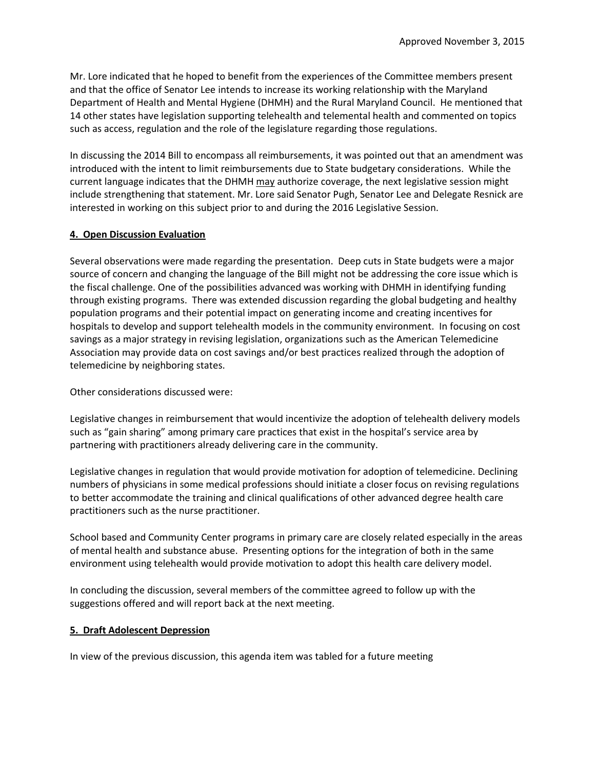Mr. Lore indicated that he hoped to benefit from the experiences of the Committee members present and that the office of Senator Lee intends to increase its working relationship with the Maryland Department of Health and Mental Hygiene (DHMH) and the Rural Maryland Council. He mentioned that 14 other states have legislation supporting telehealth and telemental health and commented on topics such as access, regulation and the role of the legislature regarding those regulations.

In discussing the 2014 Bill to encompass all reimbursements, it was pointed out that an amendment was introduced with the intent to limit reimbursements due to State budgetary considerations. While the current language indicates that the DHMH may authorize coverage, the next legislative session might include strengthening that statement. Mr. Lore said Senator Pugh, Senator Lee and Delegate Resnick are interested in working on this subject prior to and during the 2016 Legislative Session.

## **4. Open Discussion Evaluation**

Several observations were made regarding the presentation. Deep cuts in State budgets were a major source of concern and changing the language of the Bill might not be addressing the core issue which is the fiscal challenge. One of the possibilities advanced was working with DHMH in identifying funding through existing programs. There was extended discussion regarding the global budgeting and healthy population programs and their potential impact on generating income and creating incentives for hospitals to develop and support telehealth models in the community environment. In focusing on cost savings as a major strategy in revising legislation, organizations such as the American Telemedicine Association may provide data on cost savings and/or best practices realized through the adoption of telemedicine by neighboring states.

Other considerations discussed were:

Legislative changes in reimbursement that would incentivize the adoption of telehealth delivery models such as "gain sharing" among primary care practices that exist in the hospital's service area by partnering with practitioners already delivering care in the community.

Legislative changes in regulation that would provide motivation for adoption of telemedicine. Declining numbers of physicians in some medical professions should initiate a closer focus on revising regulations to better accommodate the training and clinical qualifications of other advanced degree health care practitioners such as the nurse practitioner.

School based and Community Center programs in primary care are closely related especially in the areas of mental health and substance abuse. Presenting options for the integration of both in the same environment using telehealth would provide motivation to adopt this health care delivery model.

In concluding the discussion, several members of the committee agreed to follow up with the suggestions offered and will report back at the next meeting.

## **5. Draft Adolescent Depression**

In view of the previous discussion, this agenda item was tabled for a future meeting